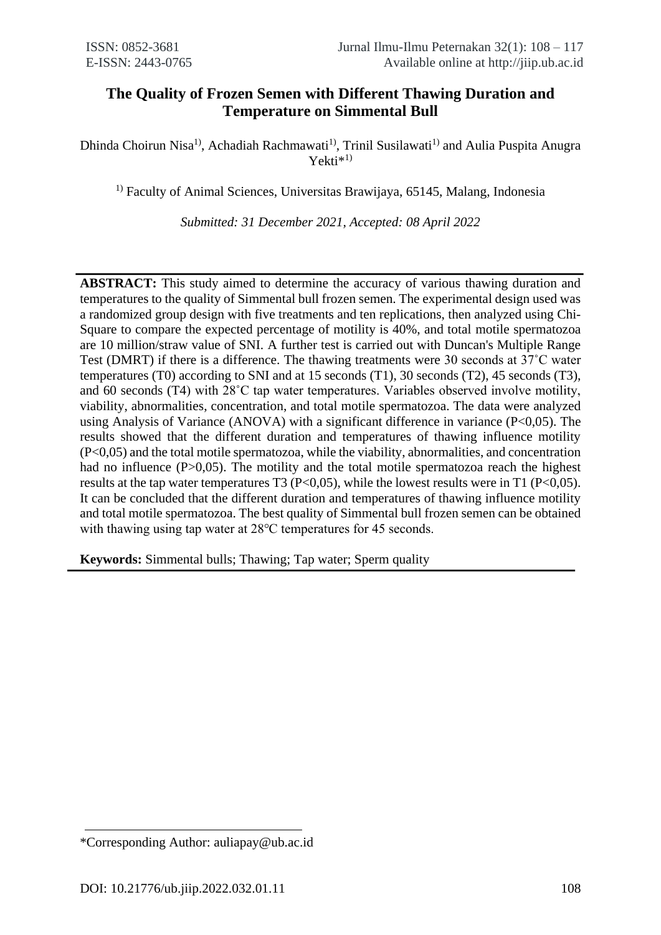# **The Quality of Frozen Semen with Different Thawing Duration and Temperature on Simmental Bull**

Dhinda Choirun Nisa<sup>1)</sup>, Achadiah Rachmawati<sup>1)</sup>, Trinil Susilawati<sup>1)</sup> and Aulia Puspita Anugra Yekti\*<sup>1)</sup>

 $<sup>1)</sup>$  Faculty of Animal Sciences, Universitas Brawijaya, 65145, Malang, Indonesia</sup>

*Submitted: 31 December 2021, Accepted: 08 April 2022*

**ABSTRACT:** This study aimed to determine the accuracy of various thawing duration and temperatures to the quality of Simmental bull frozen semen. The experimental design used was a randomized group design with five treatments and ten replications, then analyzed using Chi-Square to compare the expected percentage of motility is 40%, and total motile spermatozoa are 10 million/straw value of SNI. A further test is carried out with Duncan's Multiple Range Test (DMRT) if there is a difference. The thawing treatments were 30 seconds at 37˚C water temperatures (T0) according to SNI and at 15 seconds (T1), 30 seconds (T2), 45 seconds (T3), and 60 seconds (T4) with 28˚C tap water temperatures. Variables observed involve motility, viability, abnormalities, concentration, and total motile spermatozoa. The data were analyzed using Analysis of Variance (ANOVA) with a significant difference in variance (P<0,05). The results showed that the different duration and temperatures of thawing influence motility (P<0,05) and the total motile spermatozoa, while the viability, abnormalities, and concentration had no influence (P>0,05). The motility and the total motile spermatozoa reach the highest results at the tap water temperatures T3 (P<0,05), while the lowest results were in T1 (P<0,05). It can be concluded that the different duration and temperatures of thawing influence motility and total motile spermatozoa. The best quality of Simmental bull frozen semen can be obtained with thawing using tap water at 28<sup>o</sup>C temperatures for 45 seconds.

**Keywords:** Simmental bulls; Thawing; Tap water; Sperm quality

<sup>\*</sup>Corresponding Author: auliapay@ub.ac.id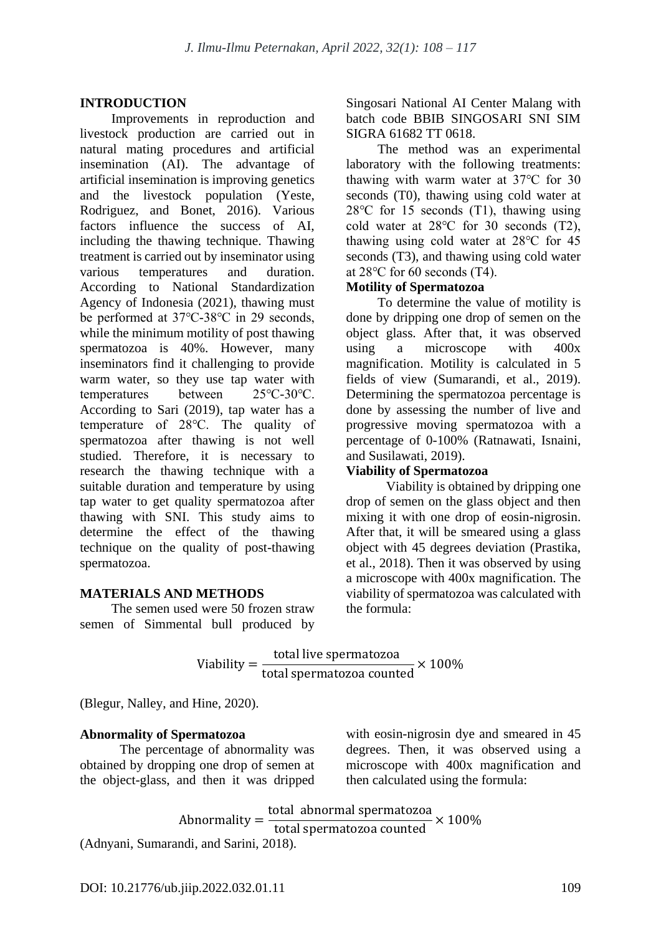# **INTRODUCTION**

Improvements in reproduction and livestock production are carried out in natural mating procedures and artificial insemination (AI). The advantage of artificial insemination is improving genetics and the livestock population (Yeste, Rodriguez, and Bonet, 2016). Various factors influence the success of AI, including the thawing technique. Thawing treatment is carried out by inseminator using various temperatures and duration. According to National Standardization Agency of Indonesia (2021), thawing must be performed at 37℃-38℃ in 29 seconds, while the minimum motility of post thawing spermatozoa is 40%. However, many inseminators find it challenging to provide warm water, so they use tap water with temperatures between 25℃-30℃. According to Sari (2019), tap water has a temperature of 28℃. The quality of spermatozoa after thawing is not well studied. Therefore, it is necessary to research the thawing technique with a suitable duration and temperature by using tap water to get quality spermatozoa after thawing with SNI. This study aims to determine the effect of the thawing technique on the quality of post-thawing spermatozoa.

## **MATERIALS AND METHODS**

The semen used were 50 frozen straw semen of Simmental bull produced by Singosari National AI Center Malang with batch code BBIB SINGOSARI SNI SIM SIGRA 61682 TT 0618.

The method was an experimental laboratory with the following treatments: thawing with warm water at 37℃ for 30 seconds (T0), thawing using cold water at 28℃ for 15 seconds (T1), thawing using cold water at 28℃ for 30 seconds (T2), thawing using cold water at 28℃ for 45 seconds (T3), and thawing using cold water at 28℃ for 60 seconds (T4).

## **Motility of Spermatozoa**

To determine the value of motility is done by dripping one drop of semen on the object glass. After that, it was observed using a microscope with 400x magnification. Motility is calculated in 5 fields of view (Sumarandi, et al., 2019). Determining the spermatozoa percentage is done by assessing the number of live and progressive moving spermatozoa with a percentage of 0-100% (Ratnawati, Isnaini, and Susilawati, 2019).

## **Viability of Spermatozoa**

Viability is obtained by dripping one drop of semen on the glass object and then mixing it with one drop of eosin-nigrosin. After that, it will be smeared using a glass object with 45 degrees deviation (Prastika, et al., 2018). Then it was observed by using a microscope with 400x magnification. The viability of spermatozoa was calculated with the formula:

$$
Viability = \frac{\text{total live spermatozoa}}{\text{total spermatozoa counted}} \times 100\%
$$

(Blegur, Nalley, and Hine, 2020).

# **Abnormality of Spermatozoa**

The percentage of abnormality was obtained by dropping one drop of semen at the object-glass, and then it was dripped with eosin-nigrosin dye and smeared in 45 degrees. Then, it was observed using a microscope with 400x magnification and then calculated using the formula:

Abnormality = total abnormal spermatozoa  $\frac{1}{2}$ total spermatozoa counted  $\times 100\%$ 

(Adnyani, Sumarandi, and Sarini, 2018).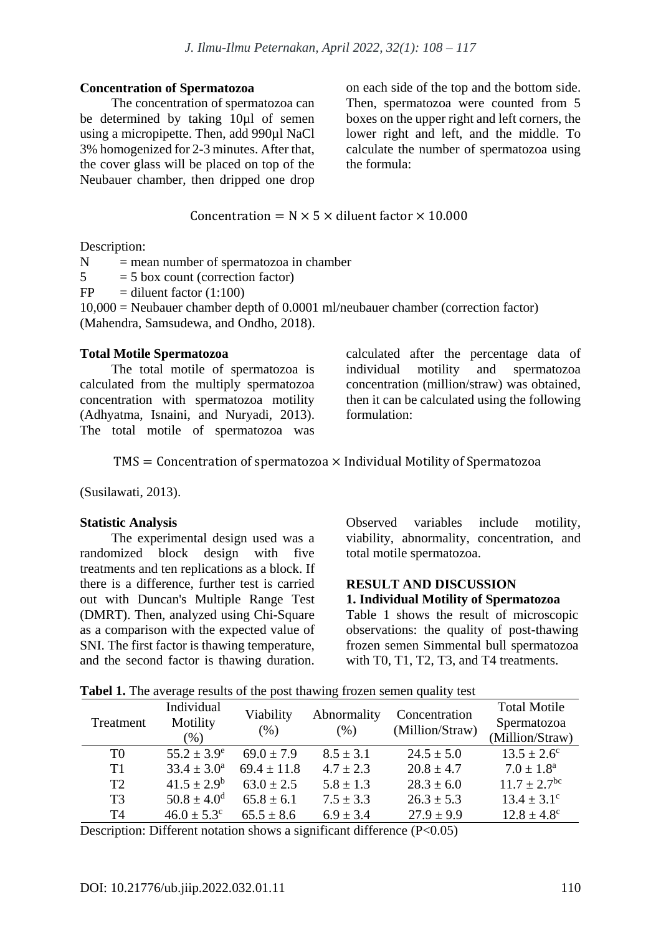#### **Concentration of Spermatozoa**

The concentration of spermatozoa can be determined by taking 10µl of semen using a micropipette. Then, add 990µl NaCl 3% homogenized for 2-3 minutes. After that, the cover glass will be placed on top of the Neubauer chamber, then dripped one drop on each side of the top and the bottom side. Then, spermatozoa were counted from 5 boxes on the upper right and left corners, the lower right and left, and the middle. To calculate the number of spermatozoa using the formula:

# Concentration =  $N \times 5 \times$  diluent factor  $\times$  10.000

Description:

 $N =$  mean number of spermatozoa in chamber

 $5 = 5$  box count (correction factor)

 $FP = diluent factor (1:100)$ 

10,000 = Neubauer chamber depth of 0.0001 ml/neubauer chamber (correction factor) (Mahendra, Samsudewa, and Ondho, 2018).

#### **Total Motile Spermatozoa**

The total motile of spermatozoa is calculated from the multiply spermatozoa concentration with spermatozoa motility (Adhyatma, Isnaini, and Nuryadi, 2013). The total motile of spermatozoa was calculated after the percentage data of individual motility and spermatozoa concentration (million/straw) was obtained, then it can be calculated using the following formulation:

#### $TMS =$  Concentration of spermatozoa  $\times$  Individual Motility of Spermatozoa

(Susilawati, 2013).

## **Statistic Analysis**

The experimental design used was a randomized block design with five treatments and ten replications as a block. If there is a difference, further test is carried out with Duncan's Multiple Range Test (DMRT). Then, analyzed using Chi-Square as a comparison with the expected value of SNI. The first factor is thawing temperature, and the second factor is thawing duration.

Observed variables include motility, viability, abnormality, concentration, and total motile spermatozoa.

#### **RESULT AND DISCUSSION 1. Individual Motility of Spermatozoa**

Table 1 shows the result of microscopic observations: the quality of post-thawing frozen semen Simmental bull spermatozoa with T0, T1, T2, T3, and T4 treatments.

|  | Tabel 1. The average results of the post thawing frozen semen quality test |  |  |
|--|----------------------------------------------------------------------------|--|--|
|  |                                                                            |  |  |

| Treatment      | Individual<br>Motility<br>$(\%)$ | Viability<br>(% ) | Abnormality<br>$(\% )$ | Concentration<br>(Million/Straw) | <b>Total Motile</b><br>Spermatozoa<br>(Million/Straw) |
|----------------|----------------------------------|-------------------|------------------------|----------------------------------|-------------------------------------------------------|
| T <sub>0</sub> | $55.2 \pm 3.9^e$                 | $69.0 \pm 7.9$    | $8.5 \pm 3.1$          | $24.5 \pm 5.0$                   | $13.5 \pm 2.6^{\circ}$                                |
| T1             | $33.4 \pm 3.0^a$                 | $69.4 \pm 11.8$   | $4.7 \pm 2.3$          | $20.8 \pm 4.7$                   | $7.0 \pm 1.8^{\text{a}}$                              |
| T2             | $41.5 \pm 2.9^b$                 | $63.0 \pm 2.5$    | $5.8 \pm 1.3$          | $28.3 \pm 6.0$                   | $11.7 \pm 2.7$ <sup>bc</sup>                          |
| T <sub>3</sub> | $50.8 \pm 4.0^d$                 | $65.8 \pm 6.1$    | $7.5 \pm 3.3$          | $26.3 \pm 5.3$                   | $13.4 \pm 3.1^{\circ}$                                |
| T <sub>4</sub> | $46.0 \pm 5.3^{\circ}$           | $65.5 \pm 8.6$    | $6.9 \pm 3.4$          | $27.9 \pm 9.9$                   | $12.8 \pm 4.8^{\circ}$                                |

Description: Different notation shows a significant difference  $(P<0.05)$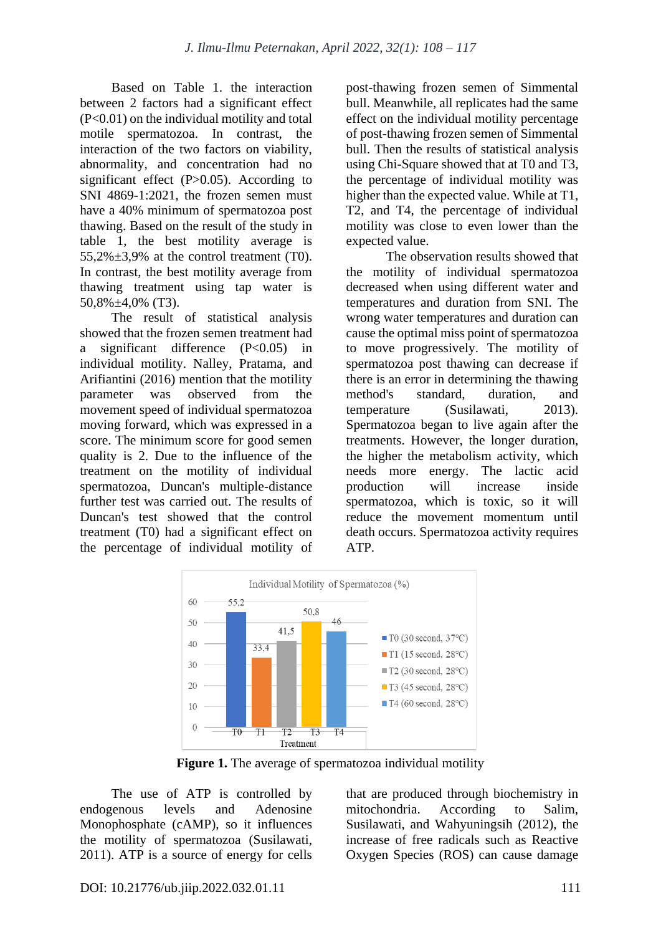Based on Table 1. the interaction between 2 factors had a significant effect (P<0.01) on the individual motility and total motile spermatozoa. In contrast, the interaction of the two factors on viability, abnormality, and concentration had no significant effect  $(P>0.05)$ . According to SNI 4869-1:2021, the frozen semen must have a 40% minimum of spermatozoa post thawing. Based on the result of the study in table 1, the best motility average is 55,2% $\pm$ 3,9% at the control treatment (T0). In contrast, the best motility average from thawing treatment using tap water is 50,8%±4,0% (T3).

The result of statistical analysis showed that the frozen semen treatment had a significant difference (P<0.05) in individual motility. Nalley, Pratama, and Arifiantini (2016) mention that the motility parameter was observed from the movement speed of individual spermatozoa moving forward, which was expressed in a score. The minimum score for good semen quality is 2. Due to the influence of the treatment on the motility of individual spermatozoa, Duncan's multiple-distance further test was carried out. The results of Duncan's test showed that the control treatment (T0) had a significant effect on the percentage of individual motility of post-thawing frozen semen of Simmental bull. Meanwhile, all replicates had the same effect on the individual motility percentage of post-thawing frozen semen of Simmental bull. Then the results of statistical analysis using Chi-Square showed that at T0 and T3, the percentage of individual motility was higher than the expected value. While at T1, T2, and T4, the percentage of individual motility was close to even lower than the expected value.

The observation results showed that the motility of individual spermatozoa decreased when using different water and temperatures and duration from SNI. The wrong water temperatures and duration can cause the optimal miss point of spermatozoa to move progressively. The motility of spermatozoa post thawing can decrease if there is an error in determining the thawing method's standard, duration, and temperature (Susilawati, 2013). Spermatozoa began to live again after the treatments. However, the longer duration, the higher the metabolism activity, which needs more energy. The lactic acid production will increase inside spermatozoa, which is toxic, so it will reduce the movement momentum until death occurs. Spermatozoa activity requires ATP.



**Figure 1.** The average of spermatozoa individual motility

The use of ATP is controlled by endogenous levels and Adenosine Monophosphate (cAMP), so it influences the motility of spermatozoa (Susilawati, 2011). ATP is a source of energy for cells

that are produced through biochemistry in mitochondria. According to Salim, Susilawati, and Wahyuningsih (2012), the increase of free radicals such as Reactive Oxygen Species (ROS) can cause damage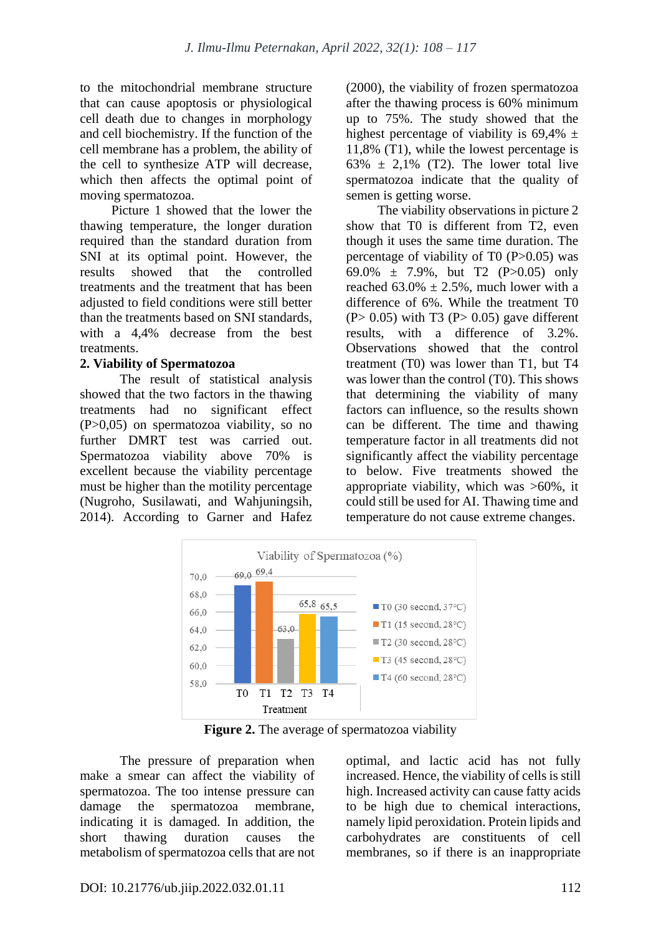to the mitochondrial membrane structure that can cause apoptosis or physiological cell death due to changes in morphology and cell biochemistry. If the function of the cell membrane has a problem, the ability of the cell to synthesize ATP will decrease, which then affects the optimal point of moving spermatozoa.

Picture 1 showed that the lower the thawing temperature, the longer duration required than the standard duration from SNI at its optimal point. However, the results showed that the controlled treatments and the treatment that has been adjusted to field conditions were still better than the treatments based on SNI standards, with a 4,4% decrease from the best treatments.

## **2. Viability of Spermatozoa**

The result of statistical analysis showed that the two factors in the thawing treatments had no significant effect (P>0,05) on spermatozoa viability, so no further DMRT test was carried out. Spermatozoa viability above 70% is excellent because the viability percentage must be higher than the motility percentage (Nugroho, Susilawati, and Wahjuningsih, 2014). According to Garner and Hafez (2000), the viability of frozen spermatozoa after the thawing process is 60% minimum up to 75%. The study showed that the highest percentage of viability is  $69,4\% \pm$ 11,8% (T1), while the lowest percentage is 63%  $\pm$  2,1% (T2). The lower total live spermatozoa indicate that the quality of semen is getting worse.

The viability observations in picture 2 show that T0 is different from T2, even though it uses the same time duration. The percentage of viability of T0  $(P>0.05)$  was 69.0% ± 7.9%, but T2 (P>0.05) only reached  $63.0\% \pm 2.5\%$ , much lower with a difference of 6%. While the treatment T0  $(P> 0.05)$  with T3  $(P> 0.05)$  gave different results, with a difference of 3.2%. Observations showed that the control treatment (T0) was lower than T1, but T4 was lower than the control (T0). This shows that determining the viability of many factors can influence, so the results shown can be different. The time and thawing temperature factor in all treatments did not significantly affect the viability percentage to below. Five treatments showed the appropriate viability, which was >60%, it could still be used for AI. Thawing time and temperature do not cause extreme changes.



**Figure 2.** The average of spermatozoa viability

The pressure of preparation when make a smear can affect the viability of spermatozoa. The too intense pressure can damage the spermatozoa membrane, indicating it is damaged. In addition, the short thawing duration causes the metabolism of spermatozoa cells that are not optimal, and lactic acid has not fully increased. Hence, the viability of cells is still high. Increased activity can cause fatty acids to be high due to chemical interactions, namely lipid peroxidation. Protein lipids and carbohydrates are constituents of cell membranes, so if there is an inappropriate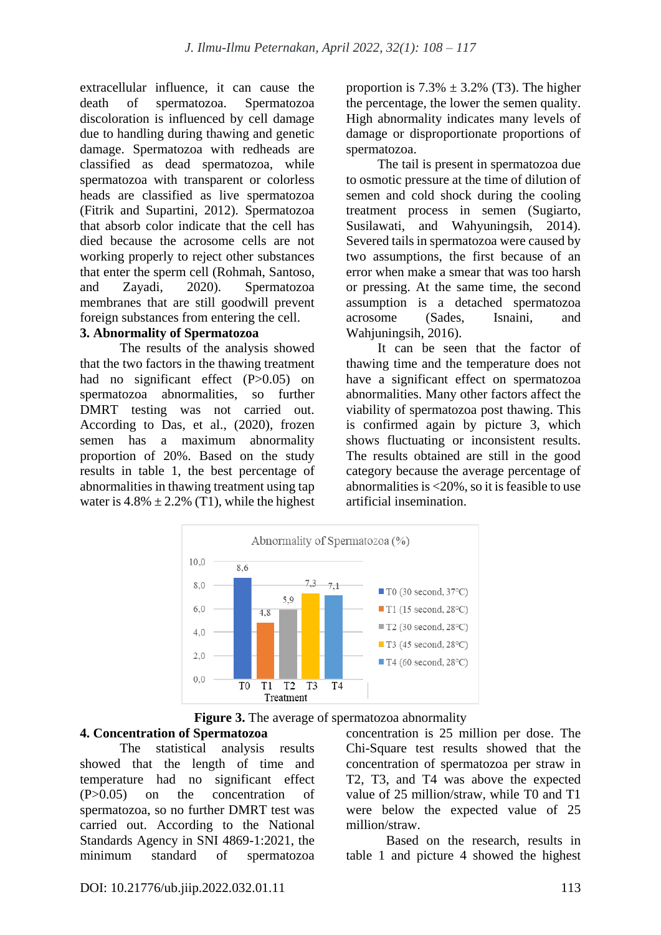extracellular influence, it can cause the death of spermatozoa. Spermatozoa discoloration is influenced by cell damage due to handling during thawing and genetic damage. Spermatozoa with redheads are classified as dead spermatozoa, while spermatozoa with transparent or colorless heads are classified as live spermatozoa (Fitrik and Supartini, 2012). Spermatozoa that absorb color indicate that the cell has died because the acrosome cells are not working properly to reject other substances that enter the sperm cell (Rohmah, Santoso, and Zayadi, 2020). Spermatozoa membranes that are still goodwill prevent foreign substances from entering the cell.

#### **3. Abnormality of Spermatozoa**

The results of the analysis showed that the two factors in the thawing treatment had no significant effect (P>0.05) on spermatozoa abnormalities, so further DMRT testing was not carried out. According to Das, et al., (2020), frozen semen has a maximum abnormality proportion of 20%. Based on the study results in table 1, the best percentage of abnormalities in thawing treatment using tap water is  $4.8\% \pm 2.2\%$  (T1), while the highest proportion is  $7.3\% \pm 3.2\%$  (T3). The higher the percentage, the lower the semen quality. High abnormality indicates many levels of damage or disproportionate proportions of spermatozoa.

The tail is present in spermatozoa due to osmotic pressure at the time of dilution of semen and cold shock during the cooling treatment process in semen (Sugiarto, Susilawati, and Wahyuningsih, 2014). Severed tails in spermatozoa were caused by two assumptions, the first because of an error when make a smear that was too harsh or pressing. At the same time, the second assumption is a detached spermatozoa acrosome (Sades, Isnaini, and Wahiuningsih, 2016).

It can be seen that the factor of thawing time and the temperature does not have a significant effect on spermatozoa abnormalities. Many other factors affect the viability of spermatozoa post thawing. This is confirmed again by picture 3, which shows fluctuating or inconsistent results. The results obtained are still in the good category because the average percentage of abnormalities is  $\leq$ 20%, so it is feasible to use artificial insemination.





# **4. Concentration of Spermatozoa**

The statistical analysis results showed that the length of time and temperature had no significant effect (P>0.05) on the concentration of spermatozoa, so no further DMRT test was carried out. According to the National Standards Agency in SNI 4869-1:2021, the minimum standard of spermatozoa concentration is 25 million per dose. The Chi-Square test results showed that the concentration of spermatozoa per straw in T2, T3, and T4 was above the expected value of 25 million/straw, while T0 and T1 were below the expected value of 25 million/straw.

Based on the research, results in table 1 and picture 4 showed the highest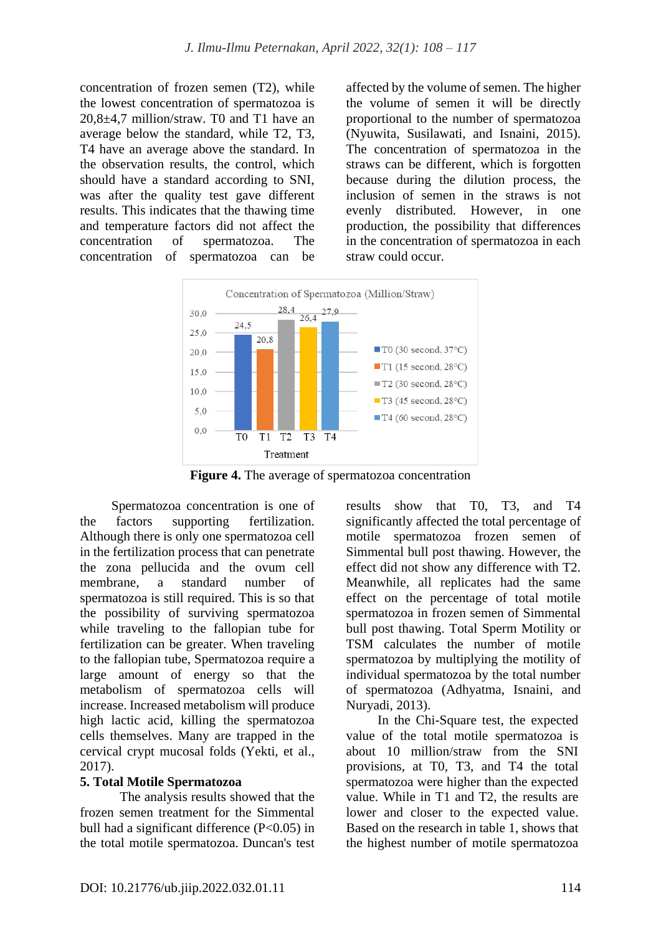concentration of frozen semen (T2), while the lowest concentration of spermatozoa is 20,8±4,7 million/straw. T0 and T1 have an average below the standard, while T2, T3, T4 have an average above the standard. In the observation results, the control, which should have a standard according to SNI, was after the quality test gave different results. This indicates that the thawing time and temperature factors did not affect the concentration of spermatozoa. The concentration of spermatozoa can be affected by the volume of semen. The higher the volume of semen it will be directly proportional to the number of spermatozoa (Nyuwita, Susilawati, and Isnaini, 2015). The concentration of spermatozoa in the straws can be different, which is forgotten because during the dilution process, the inclusion of semen in the straws is not evenly distributed. However, in one production, the possibility that differences in the concentration of spermatozoa in each straw could occur.



**Figure 4.** The average of spermatozoa concentration

Spermatozoa concentration is one of the factors supporting fertilization. Although there is only one spermatozoa cell in the fertilization process that can penetrate the zona pellucida and the ovum cell membrane, a standard number of spermatozoa is still required. This is so that the possibility of surviving spermatozoa while traveling to the fallopian tube for fertilization can be greater. When traveling to the fallopian tube, Spermatozoa require a large amount of energy so that the metabolism of spermatozoa cells will increase. Increased metabolism will produce high lactic acid, killing the spermatozoa cells themselves. Many are trapped in the cervical crypt mucosal folds (Yekti, et al., 2017).

## **5. Total Motile Spermatozoa**

The analysis results showed that the frozen semen treatment for the Simmental bull had a significant difference  $(P<0.05)$  in the total motile spermatozoa. Duncan's test results show that T0, T3, and T4 significantly affected the total percentage of motile spermatozoa frozen semen of Simmental bull post thawing. However, the effect did not show any difference with T2. Meanwhile, all replicates had the same effect on the percentage of total motile spermatozoa in frozen semen of Simmental bull post thawing. Total Sperm Motility or TSM calculates the number of motile spermatozoa by multiplying the motility of individual spermatozoa by the total number of spermatozoa (Adhyatma, Isnaini, and Nuryadi, 2013).

In the Chi-Square test, the expected value of the total motile spermatozoa is about 10 million/straw from the SNI provisions, at T0, T3, and T4 the total spermatozoa were higher than the expected value. While in T1 and T2, the results are lower and closer to the expected value. Based on the research in table 1, shows that the highest number of motile spermatozoa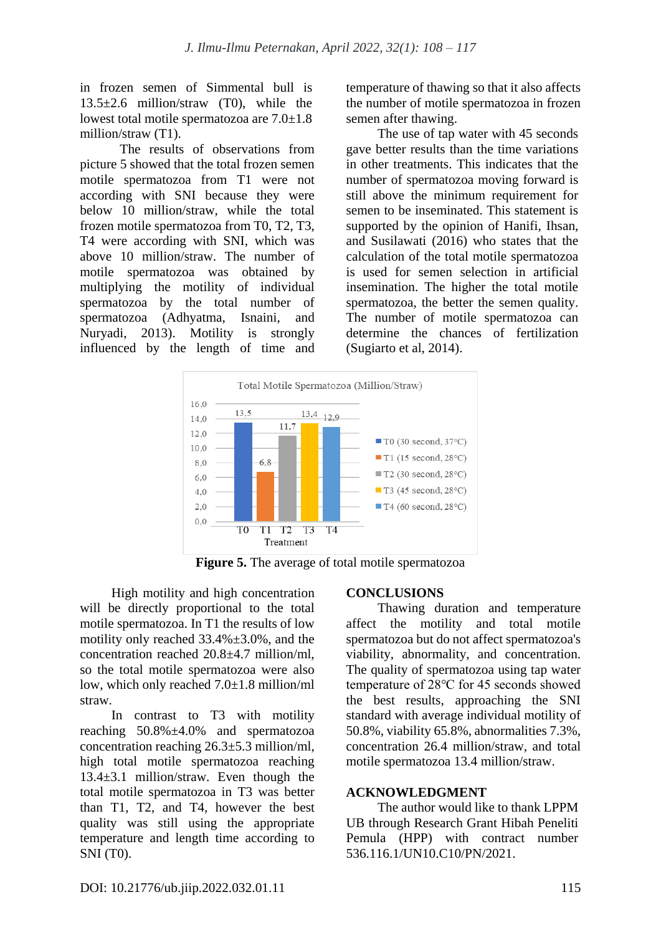in frozen semen of Simmental bull is 13.5±2.6 million/straw (T0), while the lowest total motile spermatozoa are 7.0±1.8 million/straw (T1).

The results of observations from picture 5 showed that the total frozen semen motile spermatozoa from T1 were not according with SNI because they were below 10 million/straw, while the total frozen motile spermatozoa from T0, T2, T3, T4 were according with SNI, which was above 10 million/straw. The number of motile spermatozoa was obtained by multiplying the motility of individual spermatozoa by the total number of spermatozoa (Adhyatma, Isnaini, and Nuryadi, 2013). Motility is strongly influenced by the length of time and temperature of thawing so that it also affects the number of motile spermatozoa in frozen semen after thawing.

The use of tap water with 45 seconds gave better results than the time variations in other treatments. This indicates that the number of spermatozoa moving forward is still above the minimum requirement for semen to be inseminated. This statement is supported by the opinion of Hanifi, Ihsan, and Susilawati (2016) who states that the calculation of the total motile spermatozoa is used for semen selection in artificial insemination. The higher the total motile spermatozoa, the better the semen quality. The number of motile spermatozoa can determine the chances of fertilization (Sugiarto et al, 2014).



**Figure 5.** The average of total motile spermatozoa

High motility and high concentration will be directly proportional to the total motile spermatozoa. In T1 the results of low motility only reached 33.4%±3.0%, and the concentration reached 20.8±4.7 million/ml, so the total motile spermatozoa were also low, which only reached 7.0±1.8 million/ml straw.

In contrast to T3 with motility reaching 50.8%±4.0% and spermatozoa concentration reaching 26.3±5.3 million/ml, high total motile spermatozoa reaching 13.4±3.1 million/straw. Even though the total motile spermatozoa in T3 was better than T1, T2, and T4, however the best quality was still using the appropriate temperature and length time according to SNI (T0).

## **CONCLUSIONS**

Thawing duration and temperature affect the motility and total motile spermatozoa but do not affect spermatozoa's viability, abnormality, and concentration. The quality of spermatozoa using tap water temperature of 28℃ for 45 seconds showed the best results, approaching the SNI standard with average individual motility of 50.8%, viability 65.8%, abnormalities 7.3%, concentration 26.4 million/straw, and total motile spermatozoa 13.4 million/straw.

## **ACKNOWLEDGMENT**

The author would like to thank LPPM UB through Research Grant Hibah Peneliti Pemula (HPP) with contract number 536.116.1/UN10.C10/PN/2021.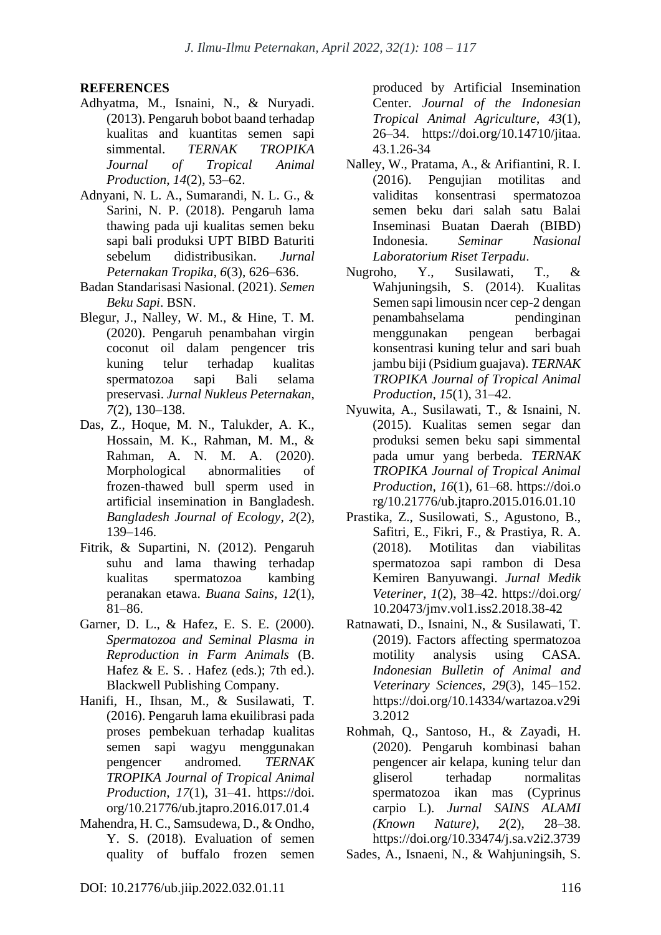# **REFERENCES**

- Adhyatma, M., Isnaini, N., & Nuryadi. (2013). Pengaruh bobot baand terhadap kualitas and kuantitas semen sapi simmental. *TERNAK TROPIKA Journal of Tropical Animal Production*, *14*(2), 53–62.
- Adnyani, N. L. A., Sumarandi, N. L. G., & Sarini, N. P. (2018). Pengaruh lama thawing pada uji kualitas semen beku sapi bali produksi UPT BIBD Baturiti sebelum didistribusikan. *Jurnal Peternakan Tropika*, *6*(3), 626–636.
- Badan Standarisasi Nasional. (2021). *Semen Beku Sapi*. BSN.
- Blegur, J., Nalley, W. M., & Hine, T. M. (2020). Pengaruh penambahan virgin coconut oil dalam pengencer tris kuning telur terhadap kualitas spermatozoa sapi Bali selama preservasi. *Jurnal Nukleus Peternakan*, *7*(2), 130–138.
- Das, Z., Hoque, M. N., Talukder, A. K., Hossain, M. K., Rahman, M. M., & Rahman, A. N. M. A. (2020). Morphological abnormalities of frozen-thawed bull sperm used in artificial insemination in Bangladesh. *Bangladesh Journal of Ecology*, *2*(2), 139–146.
- Fitrik, & Supartini, N. (2012). Pengaruh suhu and lama thawing terhadap kualitas spermatozoa kambing peranakan etawa. *Buana Sains*, *12*(1), 81–86.
- Garner, D. L., & Hafez, E. S. E. (2000). *Spermatozoa and Seminal Plasma in Reproduction in Farm Animals* (B. Hafez  $& E. S.$ . Hafez (eds.); 7th ed.). Blackwell Publishing Company.
- Hanifi, H., Ihsan, M., & Susilawati, T. (2016). Pengaruh lama ekuilibrasi pada proses pembekuan terhadap kualitas semen sapi wagyu menggunakan pengencer andromed. *TERNAK TROPIKA Journal of Tropical Animal Production*, *17*(1), 31–41. https://doi. org/10.21776/ub.jtapro.2016.017.01.4
- Mahendra, H. C., Samsudewa, D., & Ondho, Y. S. (2018). Evaluation of semen quality of buffalo frozen semen

produced by Artificial Insemination Center. *Journal of the Indonesian Tropical Animal Agriculture*, *43*(1), 26–34. https://doi.org/10.14710/jitaa. 43.1.26-34

- Nalley, W., Pratama, A., & Arifiantini, R. I. (2016). Pengujian motilitas and validitas konsentrasi spermatozoa semen beku dari salah satu Balai Inseminasi Buatan Daerah (BIBD) Indonesia. *Seminar Nasional Laboratorium Riset Terpadu*.
- Nugroho, Y., Susilawati, T., & Wahjuningsih, S. (2014). Kualitas Semen sapi limousin ncer cep-2 dengan penambahselama pendinginan menggunakan pengean berbagai konsentrasi kuning telur and sari buah jambu biji (Psidium guajava). *TERNAK TROPIKA Journal of Tropical Animal Production*, *15*(1), 31–42.
- Nyuwita, A., Susilawati, T., & Isnaini, N. (2015). Kualitas semen segar dan produksi semen beku sapi simmental pada umur yang berbeda. *TERNAK TROPIKA Journal of Tropical Animal Production*, *16*(1), 61–68. https://doi.o rg/10.21776/ub.jtapro.2015.016.01.10
- Prastika, Z., Susilowati, S., Agustono, B., Safitri, E., Fikri, F., & Prastiya, R. A. (2018). Motilitas dan viabilitas spermatozoa sapi rambon di Desa Kemiren Banyuwangi. *Jurnal Medik Veteriner*, *1*(2), 38–42. https://doi.org/ 10.20473/jmv.vol1.iss2.2018.38-42
- Ratnawati, D., Isnaini, N., & Susilawati, T. (2019). Factors affecting spermatozoa motility analysis using CASA. *Indonesian Bulletin of Animal and Veterinary Sciences*, *29*(3), 145–152. https://doi.org/10.14334/wartazoa.v29i 3.2012
- Rohmah, Q., Santoso, H., & Zayadi, H. (2020). Pengaruh kombinasi bahan pengencer air kelapa, kuning telur dan gliserol terhadap normalitas spermatozoa ikan mas (Cyprinus carpio L). *Jurnal SAINS ALAMI (Known Nature)*, *2*(2), 28–38. https://doi.org/10.33474/j.sa.v2i2.3739

Sades, A., Isnaeni, N., & Wahjuningsih, S.